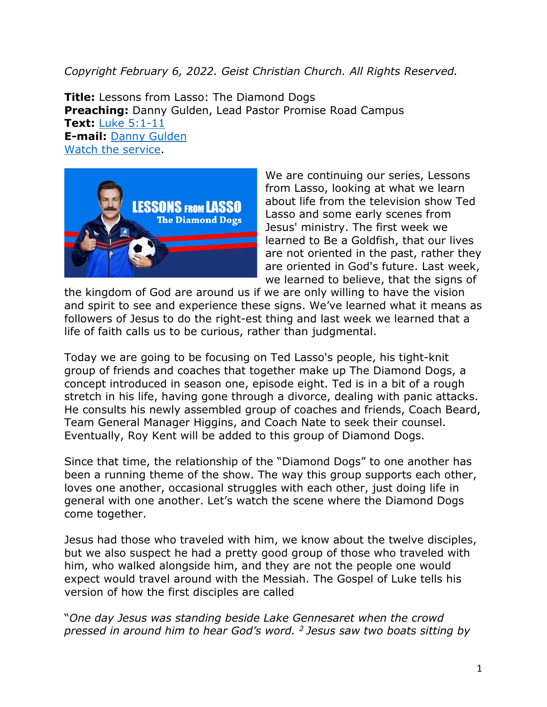## *Copyright February 6, 2022. Geist Christian Church. All Rights Reserved.*

**Title:** Lessons from Lasso: The Diamond Dogs **Preaching:** Danny Gulden, Lead Pastor Promise Road Campus **Text:** Luke [5:1-11](https://www.biblegateway.com/passage/?search=Luke+5%3A1-11&version=CEB) **E-mail:** [Danny Gulden](mailto:danny.gulden@geistchristian.org) [Watch the service.](https://youtu.be/1Jm5tmqcsCE)



We are continuing our series, Lessons from Lasso, looking at what we learn about life from the television show Ted Lasso and some early scenes from Jesus' ministry. The first week we learned to Be a Goldfish, that our lives are not oriented in the past, rather they are oriented in God's future. Last week, we learned to believe, that the signs of

the kingdom of God are around us if we are only willing to have the vision and spirit to see and experience these signs. We've learned what it means as followers of Jesus to do the right-est thing and last week we learned that a life of faith calls us to be curious, rather than judgmental.

Today we are going to be focusing on Ted Lasso's people, his tight-knit group of friends and coaches that together make up The Diamond Dogs, a concept introduced in season one, episode eight. Ted is in a bit of a rough stretch in his life, having gone through a divorce, dealing with panic attacks. He consults his newly assembled group of coaches and friends, Coach Beard, Team General Manager Higgins, and Coach Nate to seek their counsel. Eventually, Roy Kent will be added to this group of Diamond Dogs.

Since that time, the relationship of the "Diamond Dogs" to one another has been a running theme of the show. The way this group supports each other, loves one another, occasional struggles with each other, just doing life in general with one another. Let's watch the scene where the Diamond Dogs come together.

Jesus had those who traveled with him, we know about the twelve disciples, but we also suspect he had a pretty good group of those who traveled with him, who walked alongside him, and they are not the people one would expect would travel around with the Messiah. The Gospel of Luke tells his version of how the first disciples are called

"*One day Jesus was standing beside Lake Gennesaret when the crowd pressed in around him to hear God's word. <sup>2</sup> Jesus saw two boats sitting by*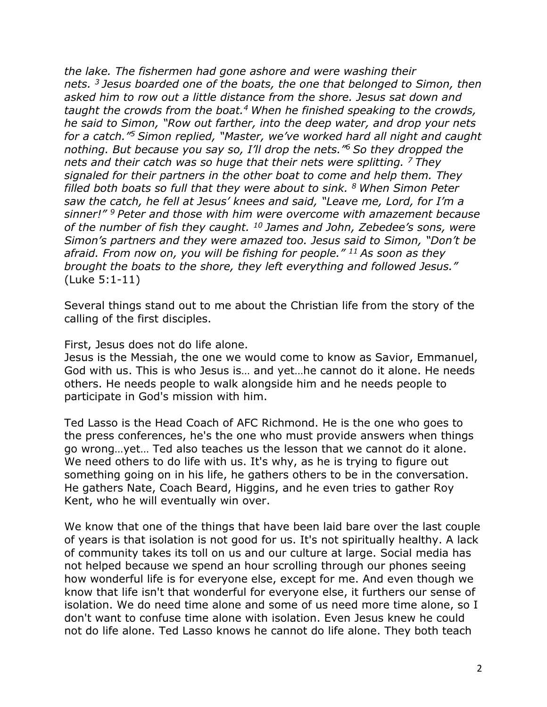*the lake. The fishermen had gone ashore and were washing their nets. <sup>3</sup> Jesus boarded one of the boats, the one that belonged to Simon, then asked him to row out a little distance from the shore. Jesus sat down and taught the crowds from the boat.4 When he finished speaking to the crowds, he said to Simon, "Row out farther, into the deep water, and drop your nets for a catch."5 Simon replied, "Master, we've worked hard all night and caught nothing. But because you say so, I'll drop the nets."6 So they dropped the nets and their catch was so huge that their nets were splitting. <sup>7</sup> They signaled for their partners in the other boat to come and help them. They filled both boats so full that they were about to sink. <sup>8</sup> When Simon Peter saw the catch, he fell at Jesus' knees and said, "Leave me, Lord, for I'm a sinner!" <sup>9</sup> Peter and those with him were overcome with amazement because of the number of fish they caught. <sup>10</sup> James and John, Zebedee's sons, were Simon's partners and they were amazed too. Jesus said to Simon, "Don't be afraid. From now on, you will be fishing for people." <sup>11</sup> As soon as they brought the boats to the shore, they left everything and followed Jesus."* (Luke 5:1-11)

Several things stand out to me about the Christian life from the story of the calling of the first disciples.

First, Jesus does not do life alone.

Jesus is the Messiah, the one we would come to know as Savior, Emmanuel, God with us. This is who Jesus is… and yet…he cannot do it alone. He needs others. He needs people to walk alongside him and he needs people to participate in God's mission with him.

Ted Lasso is the Head Coach of AFC Richmond. He is the one who goes to the press conferences, he's the one who must provide answers when things go wrong…yet… Ted also teaches us the lesson that we cannot do it alone. We need others to do life with us. It's why, as he is trying to figure out something going on in his life, he gathers others to be in the conversation. He gathers Nate, Coach Beard, Higgins, and he even tries to gather Roy Kent, who he will eventually win over.

We know that one of the things that have been laid bare over the last couple of years is that isolation is not good for us. It's not spiritually healthy. A lack of community takes its toll on us and our culture at large. Social media has not helped because we spend an hour scrolling through our phones seeing how wonderful life is for everyone else, except for me. And even though we know that life isn't that wonderful for everyone else, it furthers our sense of isolation. We do need time alone and some of us need more time alone, so I don't want to confuse time alone with isolation. Even Jesus knew he could not do life alone. Ted Lasso knows he cannot do life alone. They both teach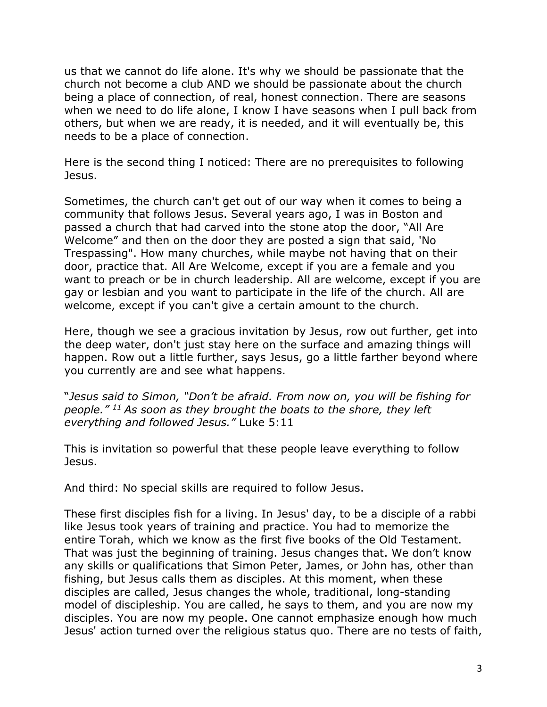us that we cannot do life alone. It's why we should be passionate that the church not become a club AND we should be passionate about the church being a place of connection, of real, honest connection. There are seasons when we need to do life alone, I know I have seasons when I pull back from others, but when we are ready, it is needed, and it will eventually be, this needs to be a place of connection.

Here is the second thing I noticed: There are no prerequisites to following Jesus.

Sometimes, the church can't get out of our way when it comes to being a community that follows Jesus. Several years ago, I was in Boston and passed a church that had carved into the stone atop the door, "All Are Welcome" and then on the door they are posted a sign that said, 'No Trespassing". How many churches, while maybe not having that on their door, practice that. All Are Welcome, except if you are a female and you want to preach or be in church leadership. All are welcome, except if you are gay or lesbian and you want to participate in the life of the church. All are welcome, except if you can't give a certain amount to the church.

Here, though we see a gracious invitation by Jesus, row out further, get into the deep water, don't just stay here on the surface and amazing things will happen. Row out a little further, says Jesus, go a little farther beyond where you currently are and see what happens.

"*Jesus said to Simon, "Don't be afraid. From now on, you will be fishing for people." <sup>11</sup> As soon as they brought the boats to the shore, they left everything and followed Jesus."* Luke 5:11

This is invitation so powerful that these people leave everything to follow Jesus.

And third: No special skills are required to follow Jesus.

These first disciples fish for a living. In Jesus' day, to be a disciple of a rabbi like Jesus took years of training and practice. You had to memorize the entire Torah, which we know as the first five books of the Old Testament. That was just the beginning of training. Jesus changes that. We don't know any skills or qualifications that Simon Peter, James, or John has, other than fishing, but Jesus calls them as disciples. At this moment, when these disciples are called, Jesus changes the whole, traditional, long-standing model of discipleship. You are called, he says to them, and you are now my disciples. You are now my people. One cannot emphasize enough how much Jesus' action turned over the religious status quo. There are no tests of faith,